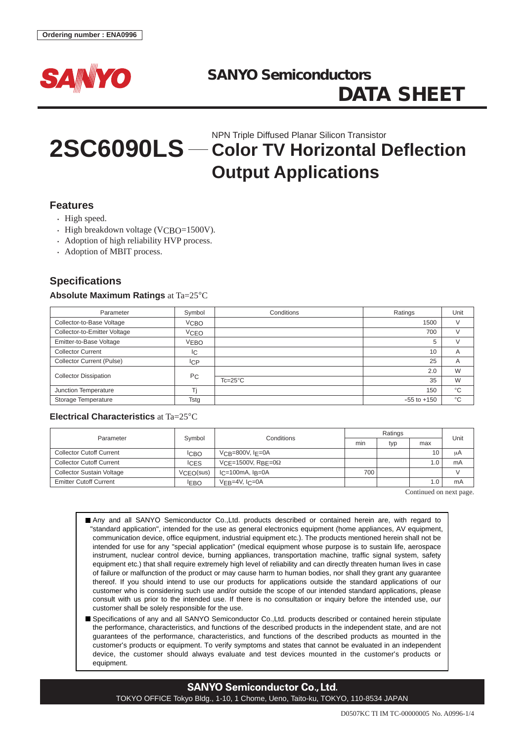

# **2SC6090LS** — Color TV Horizontal Deflection **Output Applications**

#### **Features**

- High speed.
- High breakdown voltage ( $VCRO=1500V$ ).
- Adoption of high reliability HVP process.
- Adoption of MBIT process.

## **Specifications**

#### **Absolute Maximum Ratings** at Ta=25°C

| Parameter                        | Symbol         | Conditions       | Ratings         | Unit        |
|----------------------------------|----------------|------------------|-----------------|-------------|
| Collector-to-Base Voltage        | <b>VCBO</b>    |                  | 1500            | V           |
| Collector-to-Emitter Voltage     | <b>VCEO</b>    |                  | 700             |             |
| Emitter-to-Base Voltage          | <b>VEBO</b>    |                  | 5               |             |
| <b>Collector Current</b>         | IС             |                  | 10              | A           |
| <b>Collector Current (Pulse)</b> | <b>ICP</b>     |                  | 25              | A           |
| <b>Collector Dissipation</b>     | P <sub>C</sub> |                  | 2.0             | W           |
|                                  |                | $Tc=25^{\circ}C$ | 35              | W           |
| Junction Temperature             |                |                  | 150             | $^{\circ}C$ |
| Storage Temperature              | Tstg           |                  | $-55$ to $+150$ | °C          |

#### **Electrical Characteristics** at Ta=25°C

| Parameter                        | Symbol      | Conditions                               | Ratings |     |                 |      |
|----------------------------------|-------------|------------------------------------------|---------|-----|-----------------|------|
|                                  |             |                                          | min     | typ | max             | Unit |
| Collector Cutoff Current         | <b>ICBO</b> | $V$ CB=800V, IF=0A                       |         |     | 10 <sup>°</sup> | μA   |
| <b>Collector Cutoff Current</b>  | <b>ICES</b> | VCF=1500V, RBF=0 $\Omega$                |         |     | 1.0             | mA   |
| <b>Collector Sustain Voltage</b> | VCEO(sus)   | $C = 100 \text{mA}$ , $I_B = 0 \text{A}$ | 700     |     |                 |      |
| <b>Emitter Cutoff Current</b>    | <b>IEBO</b> | $VFB=4V, IC=0A$                          |         |     | 1.0             | mA   |

Continued on next page.

Any and all SANYO Semiconductor Co.,Ltd. products described or contained herein are, with regard to "standard application", intended for the use as general electronics equipment (home appliances, AV equipment, communication device, office equipment, industrial equipment etc.). The products mentioned herein shall not be intended for use for any "special application" (medical equipment whose purpose is to sustain life, aerospace instrument, nuclear control device, burning appliances, transportation machine, traffic signal system, safety equipment etc.) that shall require extremely high level of reliability and can directly threaten human lives in case of failure or malfunction of the product or may cause harm to human bodies, nor shall they grant any guarantee thereof. If you should intend to use our products for applications outside the standard applications of our customer who is considering such use and/or outside the scope of our intended standard applications, please consult with us prior to the intended use. If there is no consultation or inquiry before the intended use, our customer shall be solely responsible for the use.

Specifications of any and all SANYO Semiconductor Co.,Ltd. products described or contained herein stipulate the performance, characteristics, and functions of the described products in the independent state, and are not guarantees of the performance, characteristics, and functions of the described products as mounted in the customer's products or equipment. To verify symptoms and states that cannot be evaluated in an independent device, the customer should always evaluate and test devices mounted in the customer's products or equipment.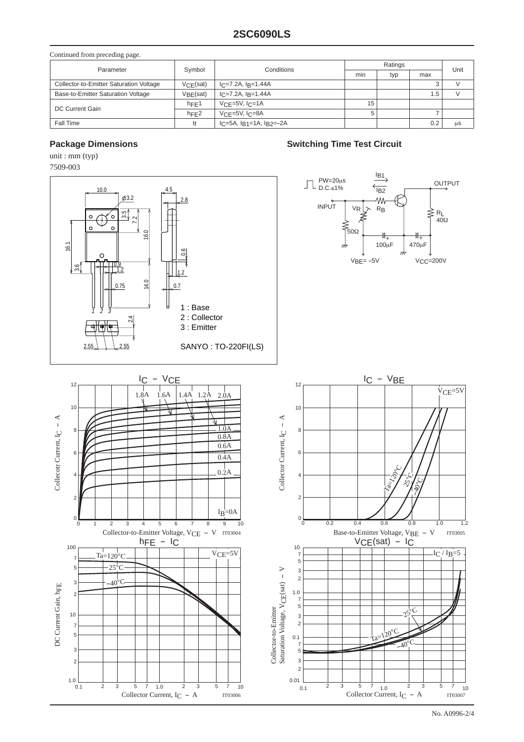| Continued from preceding page.          |          |                          |         |     |     |      |
|-----------------------------------------|----------|--------------------------|---------|-----|-----|------|
| Parameter                               | Symbol   | Conditions               | Ratings |     |     | Unit |
|                                         |          |                          | min     | typ | max |      |
| Collector-to-Emitter Saturation Voltage | VCE(sat) | $IC=7.2A, IB=1.44A$      |         |     |     |      |
| Base-to-Emitter Saturation Voltage      | VBF(sat) | $IC=7.2A$ , $IB=1.44A$   |         |     | 5.، |      |
| DC Current Gain                         | hFE1     | $VCF=5V$ , $ICF=1A$      | 15      |     |     |      |
|                                         | hFE2     | $VCF=5V$ , $IC=8A$       | 5       |     |     |      |
| Fall Time                               | tŧ       | $IC=5A, IR1=1A, IR2=-2A$ |         |     | 0.2 | μS   |

### **Package Dimensions Contract Circuit** Package Dimensions Circuit

unit : mm (typ) 7509-003

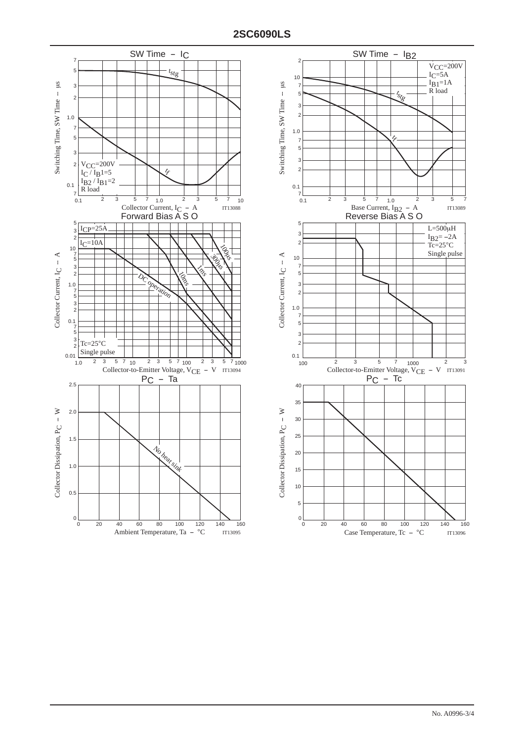